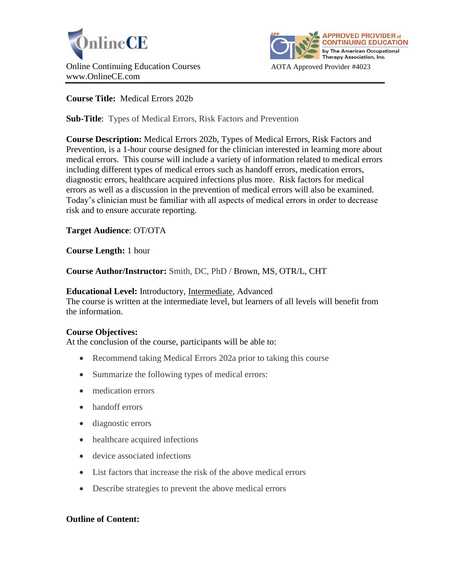



# **Course Title:** Medical Errors 202b

**Sub-Title**: Types of Medical Errors, Risk Factors and Prevention

**Course Description:** Medical Errors 202b, Types of Medical Errors, Risk Factors and Prevention, is a 1-hour course designed for the clinician interested in learning more about medical errors. This course will include a variety of information related to medical errors including different types of medical errors such as handoff errors, medication errors, diagnostic errors, healthcare acquired infections plus more. Risk factors for medical errors as well as a discussion in the prevention of medical errors will also be examined. Today's clinician must be familiar with all aspects of medical errors in order to decrease risk and to ensure accurate reporting.

# **Target Audience**: OT/OTA

**Course Length:** 1 hour

**Course Author/Instructor:** Smith, DC, PhD / Brown, MS, OTR/L, CHT

#### **Educational Level:** Introductory, Intermediate, Advanced

The course is written at the intermediate level, but learners of all levels will benefit from the information.

### **Course Objectives:**

At the conclusion of the course, participants will be able to:

- Recommend taking Medical Errors 202a prior to taking this course
- Summarize the following types of medical errors:
- medication errors
- handoff errors
- diagnostic errors
- healthcare acquired infections
- device associated infections
- List factors that increase the risk of the above medical errors
- Describe strategies to prevent the above medical errors

### **Outline of Content:**